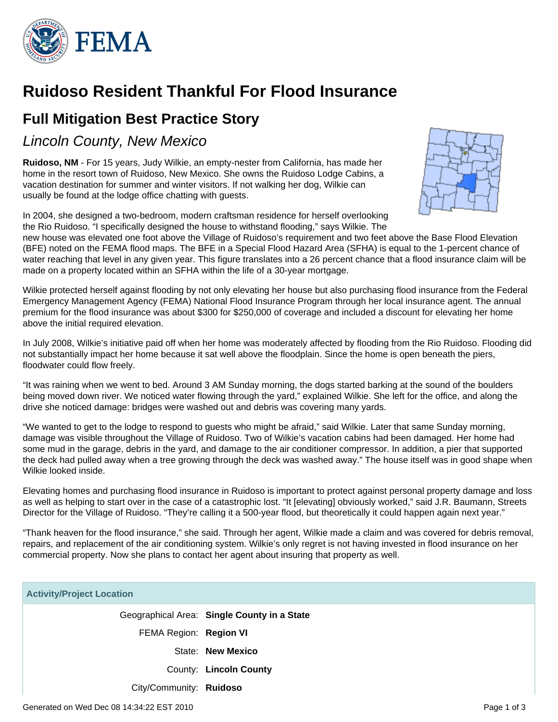

# **Ruidoso Resident Thankful For Flood Insurance**

# **Full Mitigation Best Practice Story**

Lincoln County, New Mexico

**Ruidoso, NM** - For 15 years, Judy Wilkie, an empty-nester from California, has made her home in the resort town of Ruidoso, New Mexico. She owns the Ruidoso Lodge Cabins, a vacation destination for summer and winter visitors. If not walking her dog, Wilkie can usually be found at the lodge office chatting with guests.



In 2004, she designed a two-bedroom, modern craftsman residence for herself overlooking the Rio Ruidoso. "I specifically designed the house to withstand flooding," says Wilkie. The

new house was elevated one foot above the Village of Ruidoso's requirement and two feet above the Base Flood Elevation (BFE) noted on the FEMA flood maps. The BFE in a Special Flood Hazard Area (SFHA) is equal to the 1-percent chance of water reaching that level in any given year. This figure translates into a 26 percent chance that a flood insurance claim will be made on a property located within an SFHA within the life of a 30-year mortgage.

Wilkie protected herself against flooding by not only elevating her house but also purchasing flood insurance from the Federal Emergency Management Agency (FEMA) National Flood Insurance Program through her local insurance agent. The annual premium for the flood insurance was about \$300 for \$250,000 of coverage and included a discount for elevating her home above the initial required elevation.

In July 2008, Wilkie's initiative paid off when her home was moderately affected by flooding from the Rio Ruidoso. Flooding did not substantially impact her home because it sat well above the floodplain. Since the home is open beneath the piers, floodwater could flow freely.

"It was raining when we went to bed. Around 3 AM Sunday morning, the dogs started barking at the sound of the boulders being moved down river. We noticed water flowing through the yard," explained Wilkie. She left for the office, and along the drive she noticed damage: bridges were washed out and debris was covering many yards.

"We wanted to get to the lodge to respond to guests who might be afraid," said Wilkie. Later that same Sunday morning, damage was visible throughout the Village of Ruidoso. Two of Wilkie's vacation cabins had been damaged. Her home had some mud in the garage, debris in the yard, and damage to the air conditioner compressor. In addition, a pier that supported the deck had pulled away when a tree growing through the deck was washed away." The house itself was in good shape when Wilkie looked inside.

Elevating homes and purchasing flood insurance in Ruidoso is important to protect against personal property damage and loss as well as helping to start over in the case of a catastrophic lost. "It [elevating] obviously worked," said J.R. Baumann, Streets Director for the Village of Ruidoso. "They're calling it a 500-year flood, but theoretically it could happen again next year."

"Thank heaven for the flood insurance," she said. Through her agent, Wilkie made a claim and was covered for debris removal, repairs, and replacement of the air conditioning system. Wilkie's only regret is not having invested in flood insurance on her commercial property. Now she plans to contact her agent about insuring that property as well.

| <b>Activity/Project Location</b> |                                             |
|----------------------------------|---------------------------------------------|
|                                  | Geographical Area: Single County in a State |
| FEMA Region: Region VI           |                                             |
|                                  | State: New Mexico                           |
|                                  | County: Lincoln County                      |
| City/Community: Ruidoso          |                                             |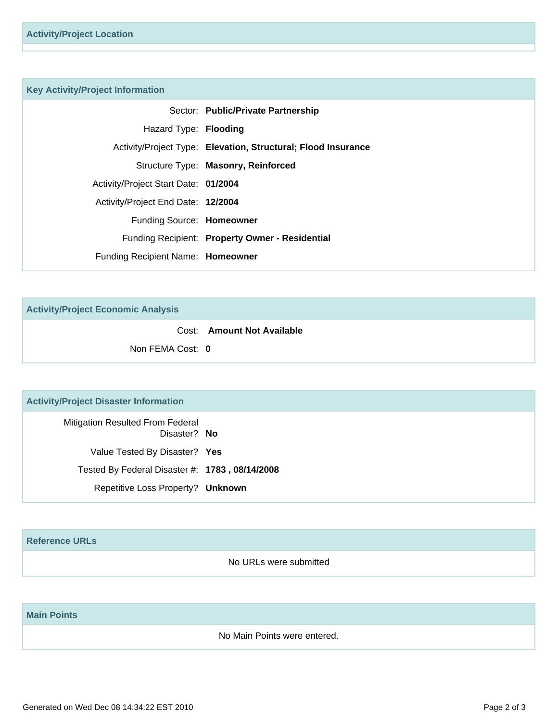#### **Key Activity/Project Information**

|                                      | Sector: Public/Private Partnership                            |
|--------------------------------------|---------------------------------------------------------------|
| Hazard Type: Flooding                |                                                               |
|                                      | Activity/Project Type: Elevation, Structural; Flood Insurance |
|                                      | Structure Type: Masonry, Reinforced                           |
| Activity/Project Start Date: 01/2004 |                                                               |
| Activity/Project End Date: 12/2004   |                                                               |
| Funding Source: Homeowner            |                                                               |
|                                      | Funding Recipient: Property Owner - Residential               |
| Funding Recipient Name: Homeowner    |                                                               |

**Activity/Project Economic Analysis**

Cost: **Amount Not Available**

Non FEMA Cost: **0**

#### **Activity/Project Disaster Information**

Mitigation Resulted From Federal Disaster? **No** Value Tested By Disaster? **Yes** Tested By Federal Disaster #: **1783 , 08/14/2008** Repetitive Loss Property? **Unknown**

### **Reference URLs**

No URLs were submitted

## **Main Points**

No Main Points were entered.